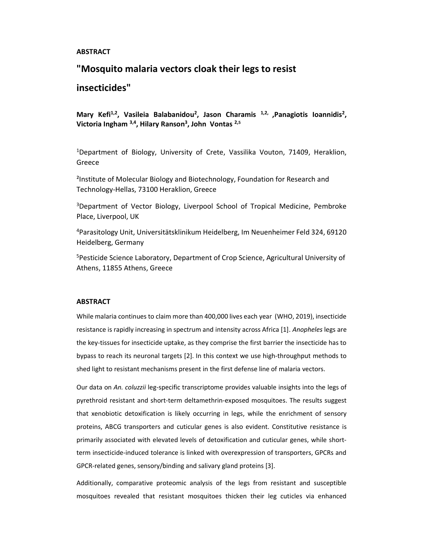#### **ABSTRACT**

## "Mosquito malaria vectors cloak their legs to resist

# insecticides"

Mary Kefi<sup>1,2</sup>, Vasileia Balabanidou<sup>2</sup>, Jason Charamis<sup>1,2,</sup> ,Panagiotis Ioannidis<sup>2</sup>, Victoria Ingham <sup>3,4</sup>, Hilary Ranson<sup>3</sup>, John Vontas <sup>2,5</sup>

<sup>1</sup>Department of Biology, University of Crete, Vassilika Vouton, 71409, Heraklion, Greece

²Institute of Molecular Biology and Biotechnology, Foundation for Research and Technology-Hellas, 73100 Heraklion, Greece

<sup>3</sup>Department of Vector Biology, Liverpool School of Tropical Medicine, Pembroke Place, Liverpool, UK

<sup>4</sup>Parasitology Unit, Universitätsklinikum Heidelberg, Im Neuenheimer Feld 324, 69120 Heidelberg, Germany

<sup>5</sup>Pesticide Science Laboratory, Department of Crop Science, Agricultural University of Athens, 11855 Athens, Greece

#### **ABSTRACT**

While malaria continues to claim more than 400,000 lives each year (WHO, 2019), insecticide resistance is rapidly increasing in spectrum and intensity across Africa [1]. Anopheles legs are the key-tissues for insecticide uptake, as they comprise the first barrier the insecticide has to bypass to reach its neuronal targets [2]. In this context we use high-throughput methods to shed light to resistant mechanisms present in the first defense line of malaria vectors.

Our data on An. coluzzii leg-specific transcriptome provides valuable insights into the legs of pyrethroid resistant and short-term deltamethrin-exposed mosquitoes. The results suggest that xenobiotic detoxification is likely occurring in legs, while the enrichment of sensory proteins, ABCG transporters and cuticular genes is also evident. Constitutive resistance is primarily associated with elevated levels of detoxification and cuticular genes, while shortterm insecticide-induced tolerance is linked with overexpression of transporters, GPCRs and GPCR-related genes, sensory/binding and salivary gland proteins [3].

Additionally, comparative proteomic analysis of the legs from resistant and susceptible mosquitoes revealed that resistant mosquitoes thicken their leg cuticles via enhanced